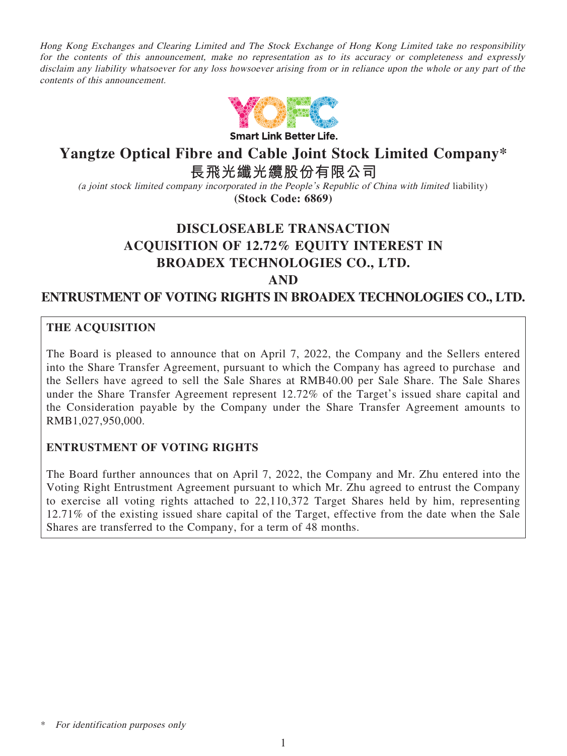Hong Kong Exchanges and Clearing Limited and The Stock Exchange of Hong Kong Limited take no responsibility for the contents of this announcement, make no representation as to its accuracy or completeness and expressly disclaim any liability whatsoever for any loss howsoever arising from or in reliance upon the whole or any part of the contents of this announcement.



**Smart Link Better Life.** 

# **Yangtze Optical Fibre and Cable Joint Stock Limited Company\***

**長飛光纖光纜股份有限公司**

(a joint stock limited company incorporated in the People's Republic of China with limited liability) **(Stock Code: 6869)**

# **DISCLOSEABLE TRANSACTION ACQUISITION OF 12.72% EQUITY INTEREST IN BROADEX TECHNOLOGIES CO., LTD. AND**

**ENTRUSTMENT OF VOTING RIGHTS IN BROADEX TECHNOLOGIES CO., LTD.**

# **THE ACQUISITION**

The Board is pleased to announce that on April 7, 2022, the Company and the Sellers entered into the Share Transfer Agreement, pursuant to which the Company has agreed to purchase and the Sellers have agreed to sell the Sale Shares at RMB40.00 per Sale Share. The Sale Shares under the Share Transfer Agreement represent 12.72% of the Target's issued share capital and the Consideration payable by the Company under the Share Transfer Agreement amounts to RMB1,027,950,000.

## **ENTRUSTMENT OF VOTING RIGHTS**

The Board further announces that on April 7, 2022, the Company and Mr. Zhu entered into the Voting Right Entrustment Agreement pursuant to which Mr. Zhu agreed to entrust the Company to exercise all voting rights attached to 22,110,372 Target Shares held by him, representing 12.71% of the existing issued share capital of the Target, effective from the date when the Sale Shares are transferred to the Company, for a term of 48 months.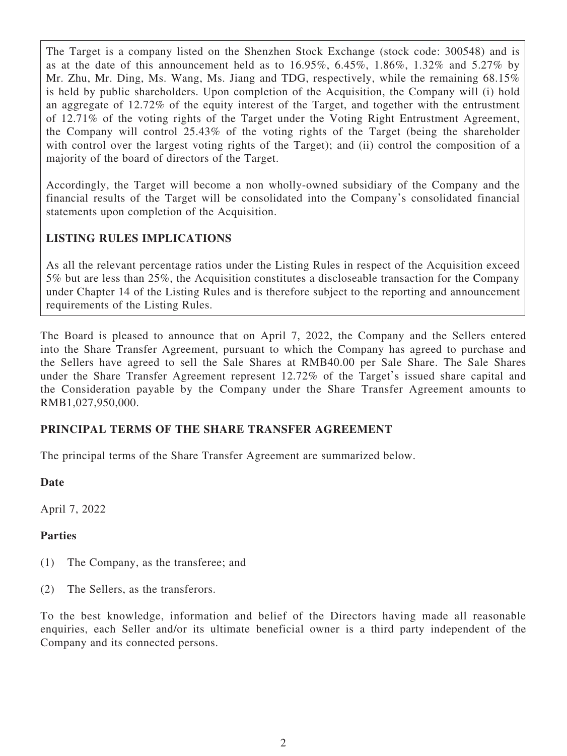The Target is a company listed on the Shenzhen Stock Exchange (stock code: 300548) and is as at the date of this announcement held as to  $16.95\%$ ,  $6.45\%$ ,  $1.86\%$ ,  $1.32\%$  and  $5.27\%$  by Mr. Zhu, Mr. Ding, Ms. Wang, Ms. Jiang and TDG, respectively, while the remaining 68.15% is held by public shareholders. Upon completion of the Acquisition, the Company will (i) hold an aggregate of 12.72% of the equity interest of the Target, and together with the entrustment of 12.71% of the voting rights of the Target under the Voting Right Entrustment Agreement, the Company will control 25.43% of the voting rights of the Target (being the shareholder with control over the largest voting rights of the Target); and (ii) control the composition of a majority of the board of directors of the Target.

Accordingly, the Target will become a non wholly-owned subsidiary of the Company and the financial results of the Target will be consolidated into the Company's consolidated financial statements upon completion of the Acquisition.

# **LISTING RULES IMPLICATIONS**

As all the relevant percentage ratios under the Listing Rules in respect of the Acquisition exceed 5% but are less than 25%, the Acquisition constitutes a discloseable transaction for the Company under Chapter 14 of the Listing Rules and is therefore subject to the reporting and announcement requirements of the Listing Rules.

The Board is pleased to announce that on April 7, 2022, the Company and the Sellers entered into the Share Transfer Agreement, pursuant to which the Company has agreed to purchase and the Sellers have agreed to sell the Sale Shares at RMB40.00 per Sale Share. The Sale Shares under the Share Transfer Agreement represent 12.72% of the Target's issued share capital and the Consideration payable by the Company under the Share Transfer Agreement amounts to RMB1,027,950,000.

# **PRINCIPAL TERMS OF THE SHARE TRANSFER AGREEMENT**

The principal terms of the Share Transfer Agreement are summarized below.

## **Date**

April 7, 2022

## **Parties**

- (1) The Company, as the transferee; and
- (2) The Sellers, as the transferors.

To the best knowledge, information and belief of the Directors having made all reasonable enquiries, each Seller and/or its ultimate beneficial owner is a third party independent of the Company and its connected persons.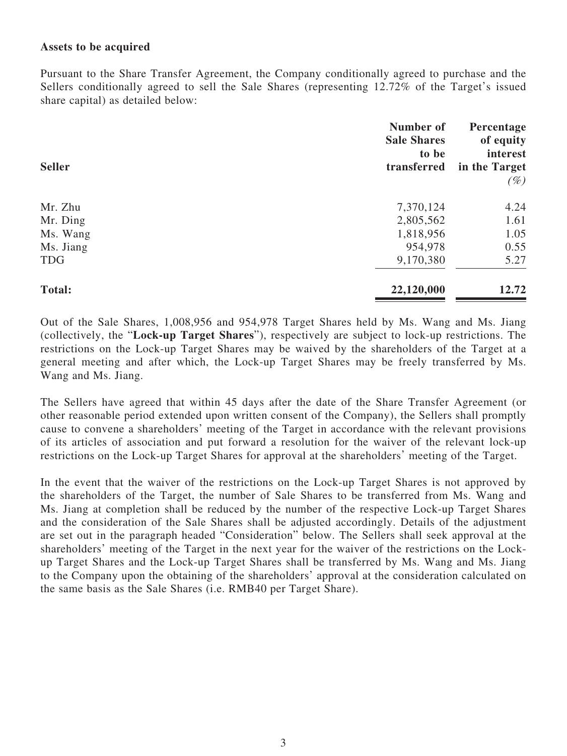#### **Assets to be acquired**

Pursuant to the Share Transfer Agreement, the Company conditionally agreed to purchase and the Sellers conditionally agreed to sell the Sale Shares (representing 12.72% of the Target's issued share capital) as detailed below:

| <b>Seller</b> | Number of<br><b>Sale Shares</b><br>to be<br>transferred | Percentage<br>of equity<br>interest<br>in the Target<br>$(\%)$ |
|---------------|---------------------------------------------------------|----------------------------------------------------------------|
| Mr. Zhu       | 7,370,124                                               | 4.24                                                           |
| Mr. Ding      | 2,805,562                                               | 1.61                                                           |
| Ms. Wang      | 1,818,956                                               | 1.05                                                           |
| Ms. Jiang     | 954,978                                                 | 0.55                                                           |
| <b>TDG</b>    | 9,170,380                                               | 5.27                                                           |
| <b>Total:</b> | 22,120,000                                              | 12.72                                                          |

Out of the Sale Shares, 1,008,956 and 954,978 Target Shares held by Ms. Wang and Ms. Jiang (collectively, the "**Lock-up Target Shares**"), respectively are subject to lock-up restrictions. The restrictions on the Lock-up Target Shares may be waived by the shareholders of the Target at a general meeting and after which, the Lock-up Target Shares may be freely transferred by Ms. Wang and Ms. Jiang.

The Sellers have agreed that within 45 days after the date of the Share Transfer Agreement (or other reasonable period extended upon written consent of the Company), the Sellers shall promptly cause to convene a shareholders' meeting of the Target in accordance with the relevant provisions of its articles of association and put forward a resolution for the waiver of the relevant lock-up restrictions on the Lock-up Target Shares for approval at the shareholders' meeting of the Target.

In the event that the waiver of the restrictions on the Lock-up Target Shares is not approved by the shareholders of the Target, the number of Sale Shares to be transferred from Ms. Wang and Ms. Jiang at completion shall be reduced by the number of the respective Lock-up Target Shares and the consideration of the Sale Shares shall be adjusted accordingly. Details of the adjustment are set out in the paragraph headed "Consideration" below. The Sellers shall seek approval at the shareholders' meeting of the Target in the next year for the waiver of the restrictions on the Lockup Target Shares and the Lock-up Target Shares shall be transferred by Ms. Wang and Ms. Jiang to the Company upon the obtaining of the shareholders' approval at the consideration calculated on the same basis as the Sale Shares (i.e. RMB40 per Target Share).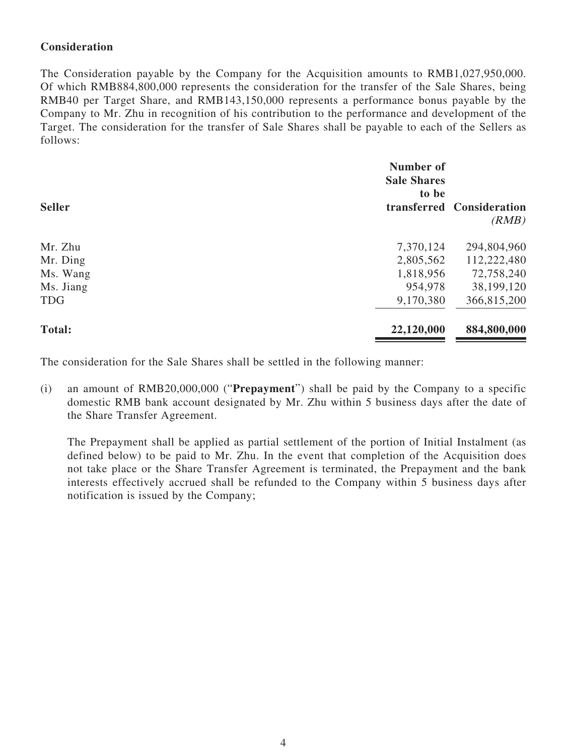# **Consideration**

The Consideration payable by the Company for the Acquisition amounts to RMB1,027,950,000. Of which RMB884,800,000 represents the consideration for the transfer of the Sale Shares, being RMB40 per Target Share, and RMB143,150,000 represents a performance bonus payable by the Company to Mr. Zhu in recognition of his contribution to the performance and development of the Target. The consideration for the transfer of Sale Shares shall be payable to each of the Sellers as follows:

| <b>Seller</b> | Number of<br><b>Sale Shares</b><br>to be | transferred Consideration<br>(RMB) |
|---------------|------------------------------------------|------------------------------------|
| Mr. Zhu       | 7,370,124                                | 294,804,960                        |
| Mr. Ding      | 2,805,562                                | 112,222,480                        |
| Ms. Wang      | 1,818,956                                | 72,758,240                         |
| Ms. Jiang     | 954,978                                  | 38,199,120                         |
| <b>TDG</b>    | 9,170,380                                | 366,815,200                        |
| <b>Total:</b> | 22,120,000                               | 884,800,000                        |

The consideration for the Sale Shares shall be settled in the following manner:

(i) an amount of RMB20,000,000 ("**Prepayment**") shall be paid by the Company to a specific domestic RMB bank account designated by Mr. Zhu within 5 business days after the date of the Share Transfer Agreement.

The Prepayment shall be applied as partial settlement of the portion of Initial Instalment (as defined below) to be paid to Mr. Zhu. In the event that completion of the Acquisition does not take place or the Share Transfer Agreement is terminated, the Prepayment and the bank interests effectively accrued shall be refunded to the Company within 5 business days after notification is issued by the Company;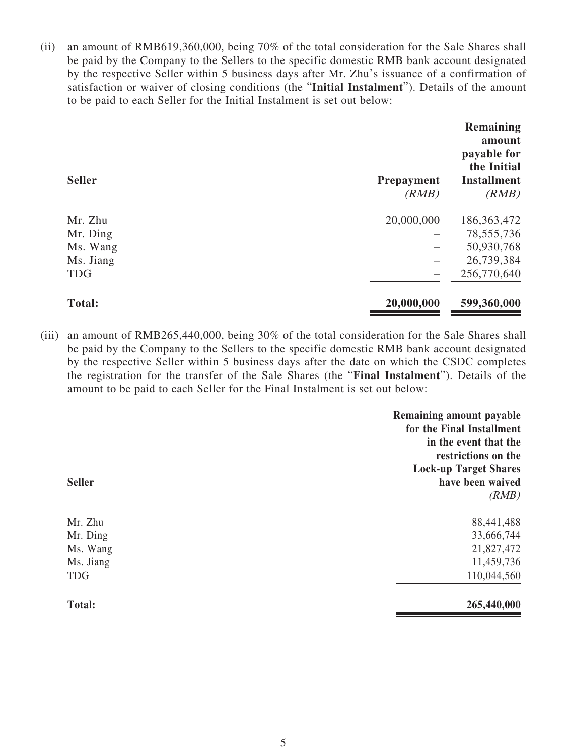(ii) an amount of RMB619,360,000, being 70% of the total consideration for the Sale Shares shall be paid by the Company to the Sellers to the specific domestic RMB bank account designated by the respective Seller within 5 business days after Mr. Zhu's issuance of a confirmation of satisfaction or waiver of closing conditions (the "**Initial Instalment**"). Details of the amount to be paid to each Seller for the Initial Instalment is set out below:

| <b>Seller</b> | <b>Prepayment</b><br>(RMB) | Remaining<br>amount<br>payable for<br>the Initial<br><b>Installment</b><br>(RMB) |
|---------------|----------------------------|----------------------------------------------------------------------------------|
| Mr. Zhu       | 20,000,000                 | 186, 363, 472                                                                    |
| Mr. Ding      |                            | 78, 555, 736                                                                     |
| Ms. Wang      |                            | 50,930,768                                                                       |
| Ms. Jiang     |                            | 26,739,384                                                                       |
| <b>TDG</b>    |                            | 256,770,640                                                                      |
| <b>Total:</b> | 20,000,000                 | 599,360,000                                                                      |

(iii) an amount of RMB265,440,000, being 30% of the total consideration for the Sale Shares shall be paid by the Company to the Sellers to the specific domestic RMB bank account designated by the respective Seller within 5 business days after the date on which the CSDC completes the registration for the transfer of the Sale Shares (the "**Final Instalment**"). Details of the amount to be paid to each Seller for the Final Instalment is set out below:

| <b>Seller</b>                                              | Remaining amount payable<br>for the Final Installment<br>in the event that the<br>restrictions on the<br><b>Lock-up Target Shares</b><br>have been waived<br>(RMB) |
|------------------------------------------------------------|--------------------------------------------------------------------------------------------------------------------------------------------------------------------|
| Mr. Zhu<br>Mr. Ding<br>Ms. Wang<br>Ms. Jiang<br><b>TDG</b> | 88,441,488<br>33,666,744<br>21,827,472<br>11,459,736<br>110,044,560                                                                                                |
| <b>Total:</b>                                              | 265,440,000                                                                                                                                                        |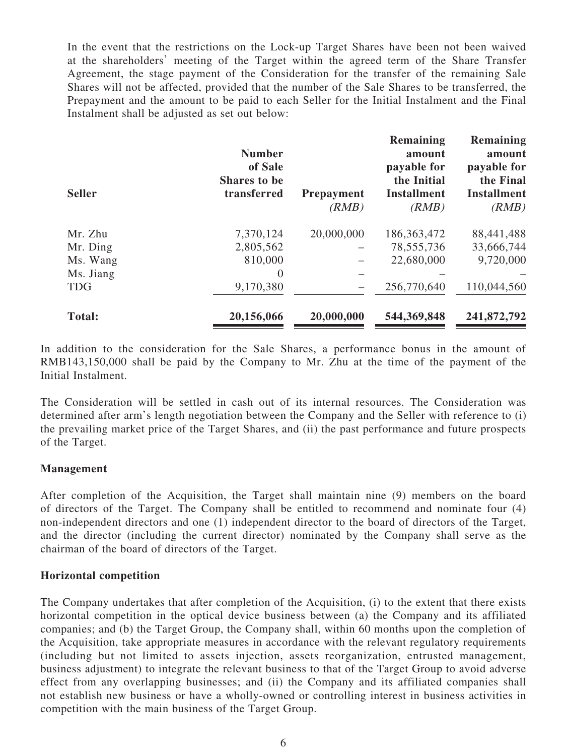In the event that the restrictions on the Lock-up Target Shares have been not been waived at the shareholders' meeting of the Target within the agreed term of the Share Transfer Agreement, the stage payment of the Consideration for the transfer of the remaining Sale Shares will not be affected, provided that the number of the Sale Shares to be transferred, the Prepayment and the amount to be paid to each Seller for the Initial Instalment and the Final Instalment shall be adjusted as set out below:

| <b>Seller</b> | <b>Number</b><br>of Sale<br><b>Shares to be</b><br>transferred | <b>Prepayment</b><br>(RMB) | Remaining<br>amount<br>payable for<br>the Initial<br><b>Installment</b><br>(RMB) | Remaining<br>amount<br>payable for<br>the Final<br><b>Installment</b><br>(RMB) |
|---------------|----------------------------------------------------------------|----------------------------|----------------------------------------------------------------------------------|--------------------------------------------------------------------------------|
| Mr. Zhu       | 7,370,124                                                      | 20,000,000                 | 186, 363, 472                                                                    | 88,441,488                                                                     |
| Mr. Ding      | 2,805,562                                                      |                            | 78, 555, 736                                                                     | 33,666,744                                                                     |
| Ms. Wang      | 810,000                                                        |                            | 22,680,000                                                                       | 9,720,000                                                                      |
| Ms. Jiang     | $\theta$                                                       |                            |                                                                                  |                                                                                |
| <b>TDG</b>    | 9,170,380                                                      |                            | 256,770,640                                                                      | 110,044,560                                                                    |
| <b>Total:</b> | 20,156,066                                                     | 20,000,000                 | 544,369,848                                                                      | 241,872,792                                                                    |

In addition to the consideration for the Sale Shares, a performance bonus in the amount of RMB143,150,000 shall be paid by the Company to Mr. Zhu at the time of the payment of the Initial Instalment.

The Consideration will be settled in cash out of its internal resources. The Consideration was determined after arm's length negotiation between the Company and the Seller with reference to (i) the prevailing market price of the Target Shares, and (ii) the past performance and future prospects of the Target.

#### **Management**

After completion of the Acquisition, the Target shall maintain nine (9) members on the board of directors of the Target. The Company shall be entitled to recommend and nominate four (4) non-independent directors and one (1) independent director to the board of directors of the Target, and the director (including the current director) nominated by the Company shall serve as the chairman of the board of directors of the Target.

#### **Horizontal competition**

The Company undertakes that after completion of the Acquisition, (i) to the extent that there exists horizontal competition in the optical device business between (a) the Company and its affiliated companies; and (b) the Target Group, the Company shall, within 60 months upon the completion of the Acquisition, take appropriate measures in accordance with the relevant regulatory requirements (including but not limited to assets injection, assets reorganization, entrusted management, business adjustment) to integrate the relevant business to that of the Target Group to avoid adverse effect from any overlapping businesses; and (ii) the Company and its affiliated companies shall not establish new business or have a wholly-owned or controlling interest in business activities in competition with the main business of the Target Group.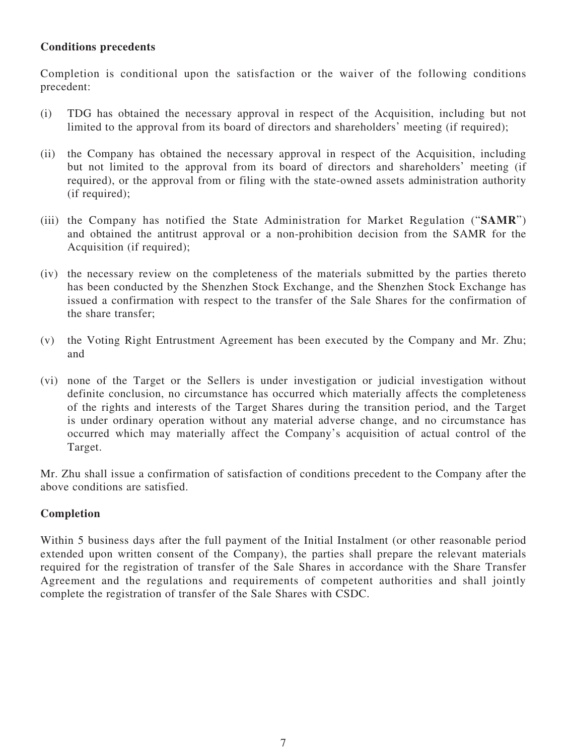# **Conditions precedents**

Completion is conditional upon the satisfaction or the waiver of the following conditions precedent:

- (i) TDG has obtained the necessary approval in respect of the Acquisition, including but not limited to the approval from its board of directors and shareholders' meeting (if required);
- (ii) the Company has obtained the necessary approval in respect of the Acquisition, including but not limited to the approval from its board of directors and shareholders' meeting (if required), or the approval from or filing with the state-owned assets administration authority (if required):
- (iii) the Company has notified the State Administration for Market Regulation ("**SAMR**") and obtained the antitrust approval or a non-prohibition decision from the SAMR for the Acquisition (if required);
- (iv) the necessary review on the completeness of the materials submitted by the parties thereto has been conducted by the Shenzhen Stock Exchange, and the Shenzhen Stock Exchange has issued a confirmation with respect to the transfer of the Sale Shares for the confirmation of the share transfer;
- (v) the Voting Right Entrustment Agreement has been executed by the Company and Mr. Zhu; and
- (vi) none of the Target or the Sellers is under investigation or judicial investigation without definite conclusion, no circumstance has occurred which materially affects the completeness of the rights and interests of the Target Shares during the transition period, and the Target is under ordinary operation without any material adverse change, and no circumstance has occurred which may materially affect the Company's acquisition of actual control of the Target.

Mr. Zhu shall issue a confirmation of satisfaction of conditions precedent to the Company after the above conditions are satisfied.

## **Completion**

Within 5 business days after the full payment of the Initial Instalment (or other reasonable period extended upon written consent of the Company), the parties shall prepare the relevant materials required for the registration of transfer of the Sale Shares in accordance with the Share Transfer Agreement and the regulations and requirements of competent authorities and shall jointly complete the registration of transfer of the Sale Shares with CSDC.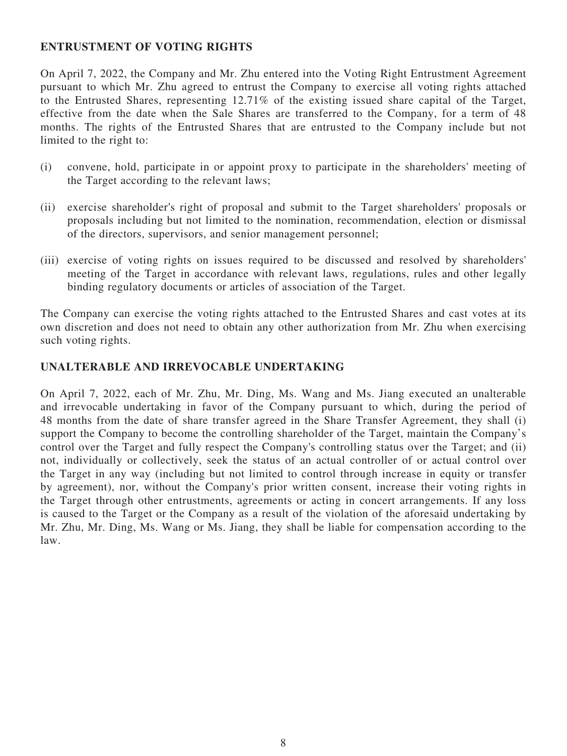#### **ENTRUSTMENT OF VOTING RIGHTS**

On April 7, 2022, the Company and Mr. Zhu entered into the Voting Right Entrustment Agreement pursuant to which Mr. Zhu agreed to entrust the Company to exercise all voting rights attached to the Entrusted Shares, representing 12.71% of the existing issued share capital of the Target, effective from the date when the Sale Shares are transferred to the Company, for a term of 48 months. The rights of the Entrusted Shares that are entrusted to the Company include but not limited to the right to:

- (i) convene, hold, participate in or appoint proxy to participate in the shareholders' meeting of the Target according to the relevant laws;
- (ii) exercise shareholder's right of proposal and submit to the Target shareholders' proposals or proposals including but not limited to the nomination, recommendation, election or dismissal of the directors, supervisors, and senior management personnel;
- (iii) exercise of voting rights on issues required to be discussed and resolved by shareholders' meeting of the Target in accordance with relevant laws, regulations, rules and other legally binding regulatory documents or articles of association of the Target.

The Company can exercise the voting rights attached to the Entrusted Shares and cast votes at its own discretion and does not need to obtain any other authorization from Mr. Zhu when exercising such voting rights.

#### **UNALTERABLE AND IRREVOCABLE UNDERTAKING**

On April 7, 2022, each of Mr. Zhu, Mr. Ding, Ms. Wang and Ms. Jiang executed an unalterable and irrevocable undertaking in favor of the Company pursuant to which, during the period of 48 months from the date of share transfer agreed in the Share Transfer Agreement, they shall (i) support the Company to become the controlling shareholder of the Target, maintain the Company's control over the Target and fully respect the Company's controlling status over the Target; and (ii) not, individually or collectively, seek the status of an actual controller of or actual control over the Target in any way (including but not limited to control through increase in equity or transfer by agreement), nor, without the Company's prior written consent, increase their voting rights in the Target through other entrustments, agreements or acting in concert arrangements. If any loss is caused to the Target or the Company as a result of the violation of the aforesaid undertaking by Mr. Zhu, Mr. Ding, Ms. Wang or Ms. Jiang, they shall be liable for compensation according to the law.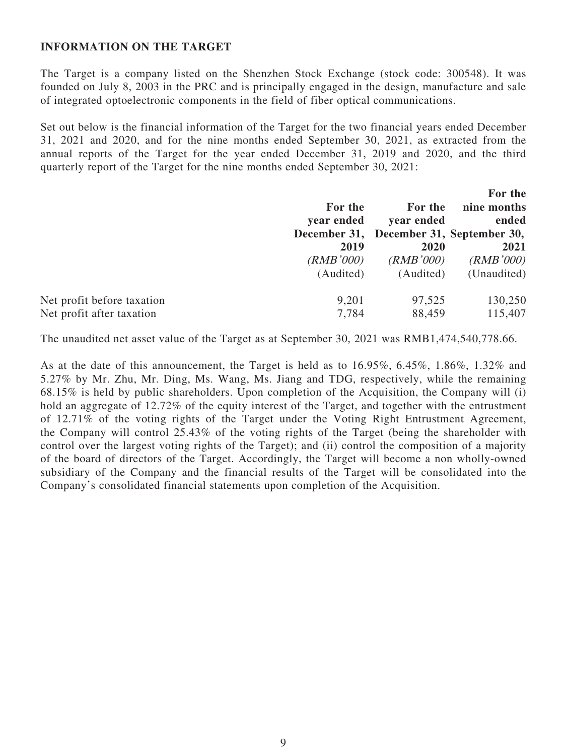#### **INFORMATION ON THE TARGET**

The Target is a company listed on the Shenzhen Stock Exchange (stock code: 300548). It was founded on July 8, 2003 in the PRC and is principally engaged in the design, manufacture and sale of integrated optoelectronic components in the field of fiber optical communications.

Set out below is the financial information of the Target for the two financial years ended December 31, 2021 and 2020, and for the nine months ended September 30, 2021, as extracted from the annual reports of the Target for the year ended December 31, 2019 and 2020, and the third quarterly report of the Target for the nine months ended September 30, 2021:

|                            |              |            | For the                    |
|----------------------------|--------------|------------|----------------------------|
|                            | For the      | For the    | nine months                |
|                            | year ended   | year ended | ended                      |
|                            | December 31, |            | December 31, September 30, |
|                            | 2019         | 2020       | 2021                       |
|                            | (RMB'000)    | (RMB'000)  | (RMB'000)                  |
|                            | (Audited)    | (Audited)  | (Unaudited)                |
| Net profit before taxation | 9,201        | 97,525     | 130,250                    |
| Net profit after taxation  | 7,784        | 88,459     | 115,407                    |

The unaudited net asset value of the Target as at September 30, 2021 was RMB1,474,540,778.66.

As at the date of this announcement, the Target is held as to 16.95%, 6.45%, 1.86%, 1.32% and 5.27% by Mr. Zhu, Mr. Ding, Ms. Wang, Ms. Jiang and TDG, respectively, while the remaining 68.15% is held by public shareholders. Upon completion of the Acquisition, the Company will (i) hold an aggregate of 12.72% of the equity interest of the Target, and together with the entrustment of 12.71% of the voting rights of the Target under the Voting Right Entrustment Agreement, the Company will control 25.43% of the voting rights of the Target (being the shareholder with control over the largest voting rights of the Target); and (ii) control the composition of a majority of the board of directors of the Target. Accordingly, the Target will become a non wholly-owned subsidiary of the Company and the financial results of the Target will be consolidated into the Company's consolidated financial statements upon completion of the Acquisition.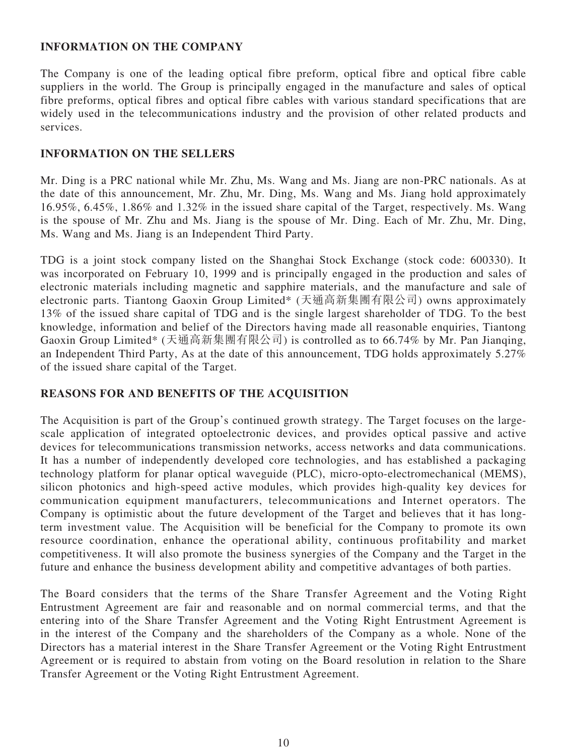#### **INFORMATION ON THE COMPANY**

The Company is one of the leading optical fibre preform, optical fibre and optical fibre cable suppliers in the world. The Group is principally engaged in the manufacture and sales of optical fibre preforms, optical fibres and optical fibre cables with various standard specifications that are widely used in the telecommunications industry and the provision of other related products and services.

#### **INFORMATION ON THE SELLERS**

Mr. Ding is a PRC national while Mr. Zhu, Ms. Wang and Ms. Jiang are non-PRC nationals. As at the date of this announcement, Mr. Zhu, Mr. Ding, Ms. Wang and Ms. Jiang hold approximately 16.95%, 6.45%, 1.86% and 1.32% in the issued share capital of the Target, respectively. Ms. Wang is the spouse of Mr. Zhu and Ms. Jiang is the spouse of Mr. Ding. Each of Mr. Zhu, Mr. Ding, Ms. Wang and Ms. Jiang is an Independent Third Party.

TDG is a joint stock company listed on the Shanghai Stock Exchange (stock code: 600330). It was incorporated on February 10, 1999 and is principally engaged in the production and sales of electronic materials including magnetic and sapphire materials, and the manufacture and sale of electronic parts. Tiantong Gaoxin Group Limited\* (天通高新集團有限公司) owns approximately 13% of the issued share capital of TDG and is the single largest shareholder of TDG. To the best knowledge, information and belief of the Directors having made all reasonable enquiries, Tiantong Gaoxin Group Limited\* (天通高新集團有限公司) is controlled as to 66.74% by Mr. Pan Jianqing, an Independent Third Party, As at the date of this announcement, TDG holds approximately 5.27% of the issued share capital of the Target.

## **REASONS FOR AND BENEFITS OF THE ACQUISITION**

The Acquisition is part of the Group's continued growth strategy. The Target focuses on the largescale application of integrated optoelectronic devices, and provides optical passive and active devices for telecommunications transmission networks, access networks and data communications. It has a number of independently developed core technologies, and has established a packaging technology platform for planar optical waveguide (PLC), micro-opto-electromechanical (MEMS), silicon photonics and high-speed active modules, which provides high-quality key devices for communication equipment manufacturers, telecommunications and Internet operators. The Company is optimistic about the future development of the Target and believes that it has longterm investment value. The Acquisition will be beneficial for the Company to promote its own resource coordination, enhance the operational ability, continuous profitability and market competitiveness. It will also promote the business synergies of the Company and the Target in the future and enhance the business development ability and competitive advantages of both parties.

The Board considers that the terms of the Share Transfer Agreement and the Voting Right Entrustment Agreement are fair and reasonable and on normal commercial terms, and that the entering into of the Share Transfer Agreement and the Voting Right Entrustment Agreement is in the interest of the Company and the shareholders of the Company as a whole. None of the Directors has a material interest in the Share Transfer Agreement or the Voting Right Entrustment Agreement or is required to abstain from voting on the Board resolution in relation to the Share Transfer Agreement or the Voting Right Entrustment Agreement.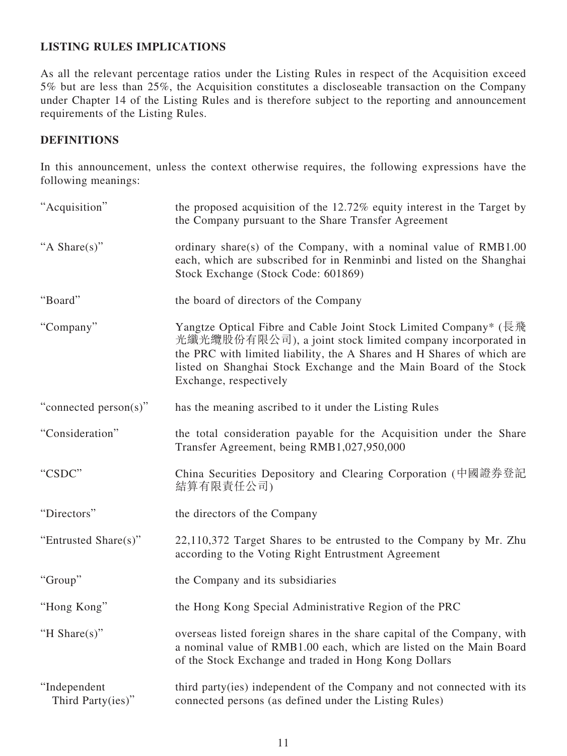# **LISTING RULES IMPLICATIONS**

As all the relevant percentage ratios under the Listing Rules in respect of the Acquisition exceed 5% but are less than 25%, the Acquisition constitutes a discloseable transaction on the Company under Chapter 14 of the Listing Rules and is therefore subject to the reporting and announcement requirements of the Listing Rules.

# **DEFINITIONS**

In this announcement, unless the context otherwise requires, the following expressions have the following meanings:

| "Acquisition"                     | the proposed acquisition of the 12.72% equity interest in the Target by<br>the Company pursuant to the Share Transfer Agreement                                                                                                                                                                         |
|-----------------------------------|---------------------------------------------------------------------------------------------------------------------------------------------------------------------------------------------------------------------------------------------------------------------------------------------------------|
| "A Share(s)"                      | ordinary share(s) of the Company, with a nominal value of RMB1.00<br>each, which are subscribed for in Renminbi and listed on the Shanghai<br>Stock Exchange (Stock Code: 601869)                                                                                                                       |
| "Board"                           | the board of directors of the Company                                                                                                                                                                                                                                                                   |
| "Company"                         | Yangtze Optical Fibre and Cable Joint Stock Limited Company* (長飛<br>光纖光纜股份有限公司), a joint stock limited company incorporated in<br>the PRC with limited liability, the A Shares and H Shares of which are<br>listed on Shanghai Stock Exchange and the Main Board of the Stock<br>Exchange, respectively |
| "connected person(s)"             | has the meaning ascribed to it under the Listing Rules                                                                                                                                                                                                                                                  |
| "Consideration"                   | the total consideration payable for the Acquisition under the Share<br>Transfer Agreement, being RMB1,027,950,000                                                                                                                                                                                       |
| "CSDC"                            | China Securities Depository and Clearing Corporation (中國證券登記<br>結算有限責任公司)                                                                                                                                                                                                                               |
| "Directors"                       | the directors of the Company                                                                                                                                                                                                                                                                            |
| "Entrusted Share(s)"              | 22,110,372 Target Shares to be entrusted to the Company by Mr. Zhu<br>according to the Voting Right Entrustment Agreement                                                                                                                                                                               |
| "Group"                           | the Company and its subsidiaries                                                                                                                                                                                                                                                                        |
| "Hong Kong"                       | the Hong Kong Special Administrative Region of the PRC                                                                                                                                                                                                                                                  |
| "H Share $(s)$ "                  | overseas listed foreign shares in the share capital of the Company, with<br>a nominal value of RMB1.00 each, which are listed on the Main Board<br>of the Stock Exchange and traded in Hong Kong Dollars                                                                                                |
| "Independent<br>Third Party(ies)" | third party(ies) independent of the Company and not connected with its<br>connected persons (as defined under the Listing Rules)                                                                                                                                                                        |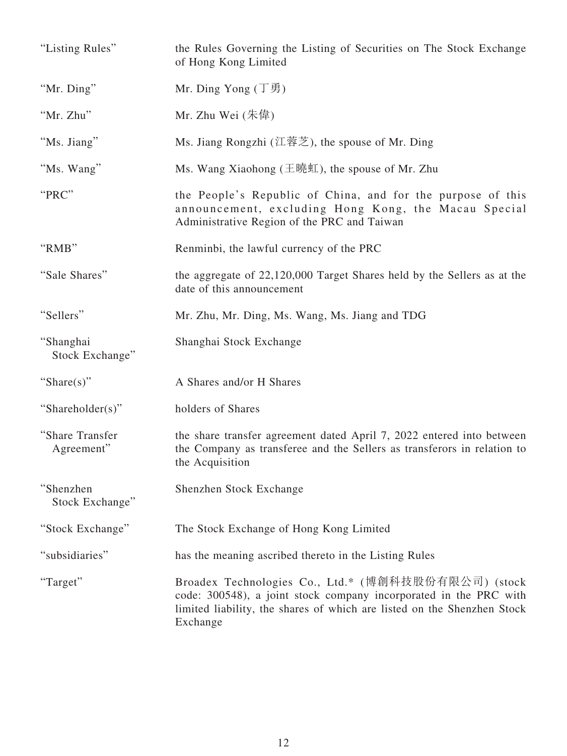| "Listing Rules"               | the Rules Governing the Listing of Securities on The Stock Exchange<br>of Hong Kong Limited                                                                                                                     |
|-------------------------------|-----------------------------------------------------------------------------------------------------------------------------------------------------------------------------------------------------------------|
| "Mr. Ding"                    | Mr. Ding Yong $(\top \bar{\mathfrak{H}})$                                                                                                                                                                       |
| "Mr. Zhu"                     | Mr. Zhu Wei $($ 朱偉)                                                                                                                                                                                             |
| "Ms. Jiang"                   | Ms. Jiang Rongzhi (江蓉芝), the spouse of Mr. Ding                                                                                                                                                                 |
| "Ms. Wang"                    | Ms. Wang Xiaohong (王曉虹), the spouse of Mr. Zhu                                                                                                                                                                  |
| "PRC"                         | the People's Republic of China, and for the purpose of this<br>announcement, excluding Hong Kong, the Macau Special<br>Administrative Region of the PRC and Taiwan                                              |
| "RMB"                         | Renminbi, the lawful currency of the PRC                                                                                                                                                                        |
| "Sale Shares"                 | the aggregate of 22,120,000 Target Shares held by the Sellers as at the<br>date of this announcement                                                                                                            |
| "Sellers"                     | Mr. Zhu, Mr. Ding, Ms. Wang, Ms. Jiang and TDG                                                                                                                                                                  |
| "Shanghai<br>Stock Exchange"  | Shanghai Stock Exchange                                                                                                                                                                                         |
| "Share(s)"                    | A Shares and/or H Shares                                                                                                                                                                                        |
| "Shareholder(s)"              | holders of Shares                                                                                                                                                                                               |
| "Share Transfer<br>Agreement" | the share transfer agreement dated April 7, 2022 entered into between<br>the Company as transferee and the Sellers as transferors in relation to<br>the Acquisition                                             |
| "Shenzhen<br>Stock Exchange"  | Shenzhen Stock Exchange                                                                                                                                                                                         |
| "Stock Exchange"              | The Stock Exchange of Hong Kong Limited                                                                                                                                                                         |
| "subsidiaries"                | has the meaning ascribed thereto in the Listing Rules                                                                                                                                                           |
| "Target"                      | Broadex Technologies Co., Ltd.* (博創科技股份有限公司) (stock<br>code: 300548), a joint stock company incorporated in the PRC with<br>limited liability, the shares of which are listed on the Shenzhen Stock<br>Exchange |